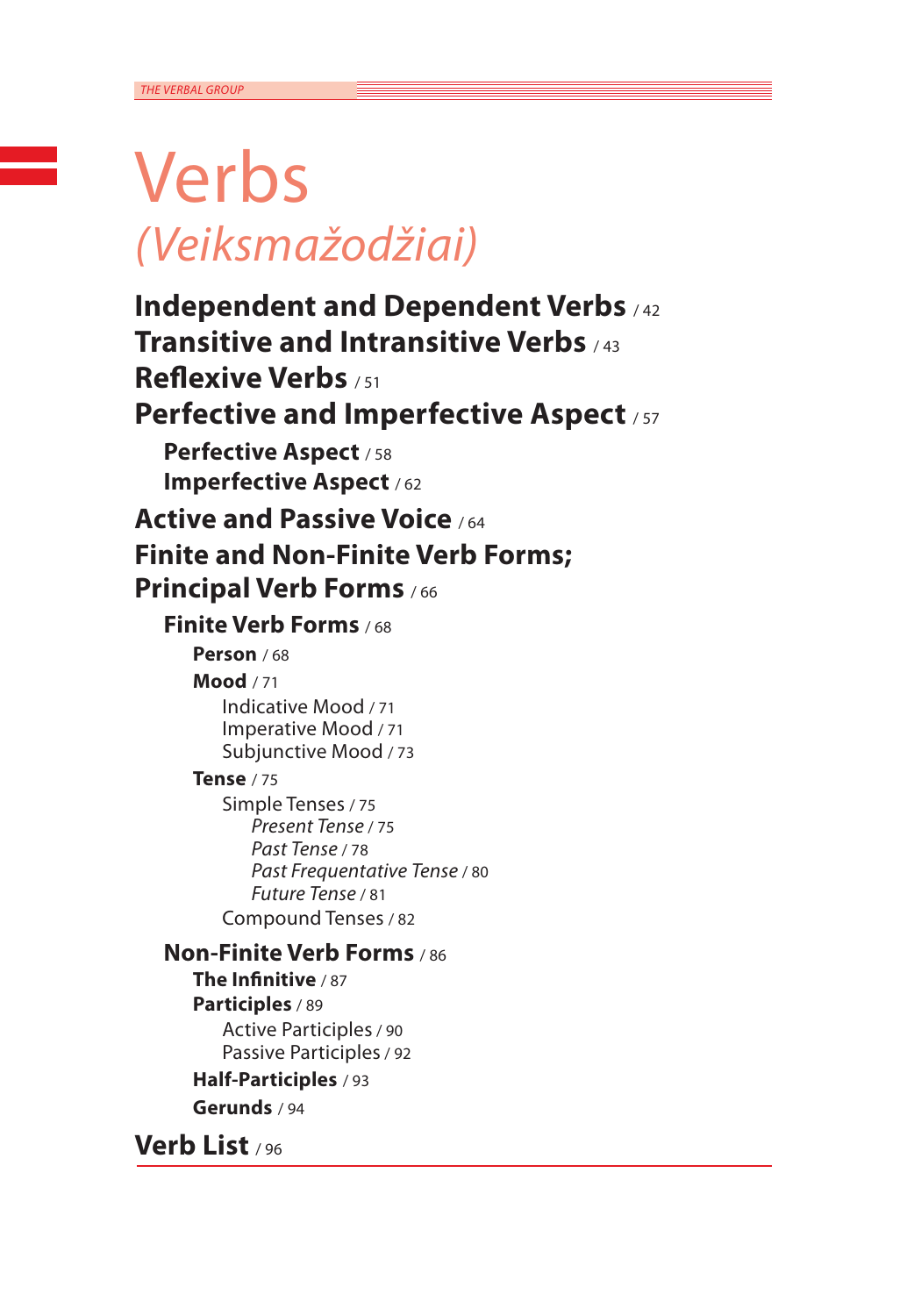## Verbs *(Veiksmažodžiai)*

**Independent and Dependent Verbs** / <sup>42</sup> **Transitive and Intransitive Verbs** / <sup>43</sup> **Reflexive Verbs** / <sup>51</sup> **Perfective and Imperfective Aspect** / 57 **Perfective Aspect** / <sup>58</sup> **Imperfective Aspect** / <sup>62</sup> **Active and Passive Voice** / <sup>64</sup> **Finite and Non-Finite Verb Forms; Principal Verb Forms** / <sup>66</sup> **Finite Verb Forms** / <sup>68</sup> **Person** / 68 **Mood** / 71 Indicative Mood / 71 Imperative Mood / 71 Subjunctive Mood / 73 **Tense** / 75 Simple Tenses / 75 *Present Tense* / 75 *Past Tense* / 78 *Past Frequentative Tense* / 80 *Future Tense* / 81 Compound Tenses / 82 **Non-Finite Verb Forms** / <sup>86</sup> **The Infinitive** / 87 **Participles** / 89 Active Participles/ 90 Passive Participles/ 92 **Half-Participles** / 93 **Gerunds** / 94

**Verb List** / <sup>96</sup>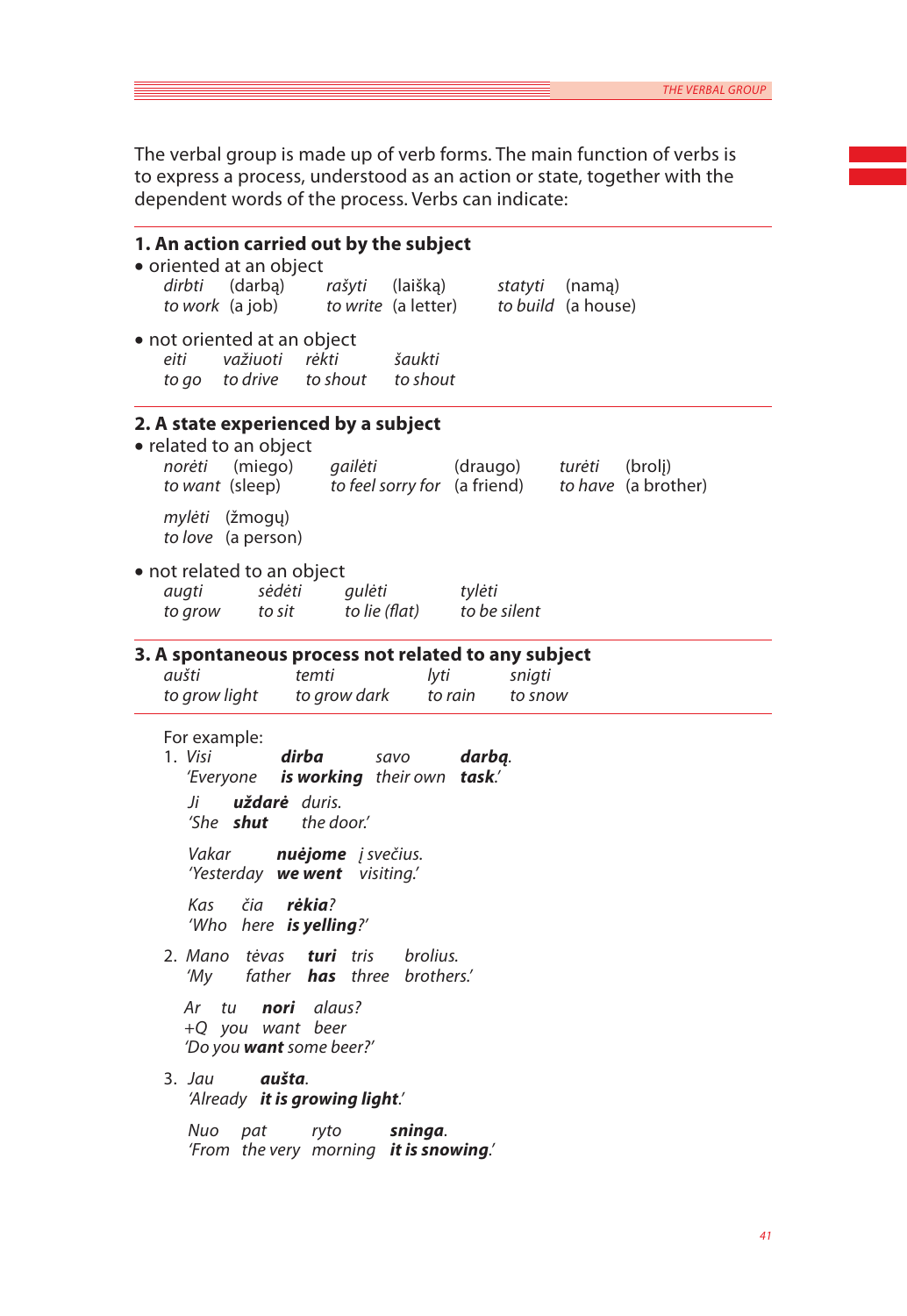The verbal group is made up of verb forms. The main function of verbs is to express a process, understood as an action or state, together with the dependent words of the process. Verbs can indicate:

| 1. An action carried out by the subject<br>• oriented at an object                                                                                                                                                                                                                                                                                                                                                                                                                                                                                  |
|-----------------------------------------------------------------------------------------------------------------------------------------------------------------------------------------------------------------------------------------------------------------------------------------------------------------------------------------------------------------------------------------------------------------------------------------------------------------------------------------------------------------------------------------------------|
| (darbą) rašyti<br>dirbti<br>(laišką)<br>statyti (namą)<br>to work (a job)<br>to write (a letter) to build (a house)                                                                                                                                                                                                                                                                                                                                                                                                                                 |
| • not oriented at an object<br>važiuoti<br>rėkti<br>eiti<br>šaukti<br>suunu<br>to shout<br>to go to drive to shout                                                                                                                                                                                                                                                                                                                                                                                                                                  |
| 2. A state experienced by a subject<br>· related to an object<br>gailėti<br>norėti (miego)<br>(draugo)<br>turėti<br>(brolj)<br>to want (sleep) to feel sorry for (a friend)<br>to have (a brother)                                                                                                                                                                                                                                                                                                                                                  |
| mylėti (žmogų)<br>to love (a person)                                                                                                                                                                                                                                                                                                                                                                                                                                                                                                                |
| • not related to an object<br>sėdėti<br>tylėti<br>augti<br>gulėti<br>to lie (flat)<br>to be silent<br>to grow to sit                                                                                                                                                                                                                                                                                                                                                                                                                                |
| 3. A spontaneous process not related to any subject<br>aušti<br>temti<br>snigti<br>lyti<br>to grow light<br>to grow dark<br>to rain<br>to snow                                                                                                                                                                                                                                                                                                                                                                                                      |
| For example:<br>1. Visi<br>dirba<br>darbą.<br>savo<br>'Everyone is working their own task.'<br>uždarė duris.<br>Ji<br>'She <b>shut</b><br>the door.'<br>nuėjome į svečius.<br>Vakar<br>'Yesterday <b>we went</b> visiting.'<br>čia <b>rėkia</b> ?<br>Kas<br>'Who here is yelling?'<br>brolius.<br>2. Mano tėvas <b>turi</b> tris<br>father <b>has</b> three brothers.'<br>'My<br>Ar tu<br>nori alaus?<br>+Q you want beer<br>'Do you <b>want</b> some beer?'<br>aušta.<br>3. Jau<br>'Already it is growing light.'<br>sninga.<br>Nuo<br>ryto<br>pat |
| 'From the very morning it is snowing.'                                                                                                                                                                                                                                                                                                                                                                                                                                                                                                              |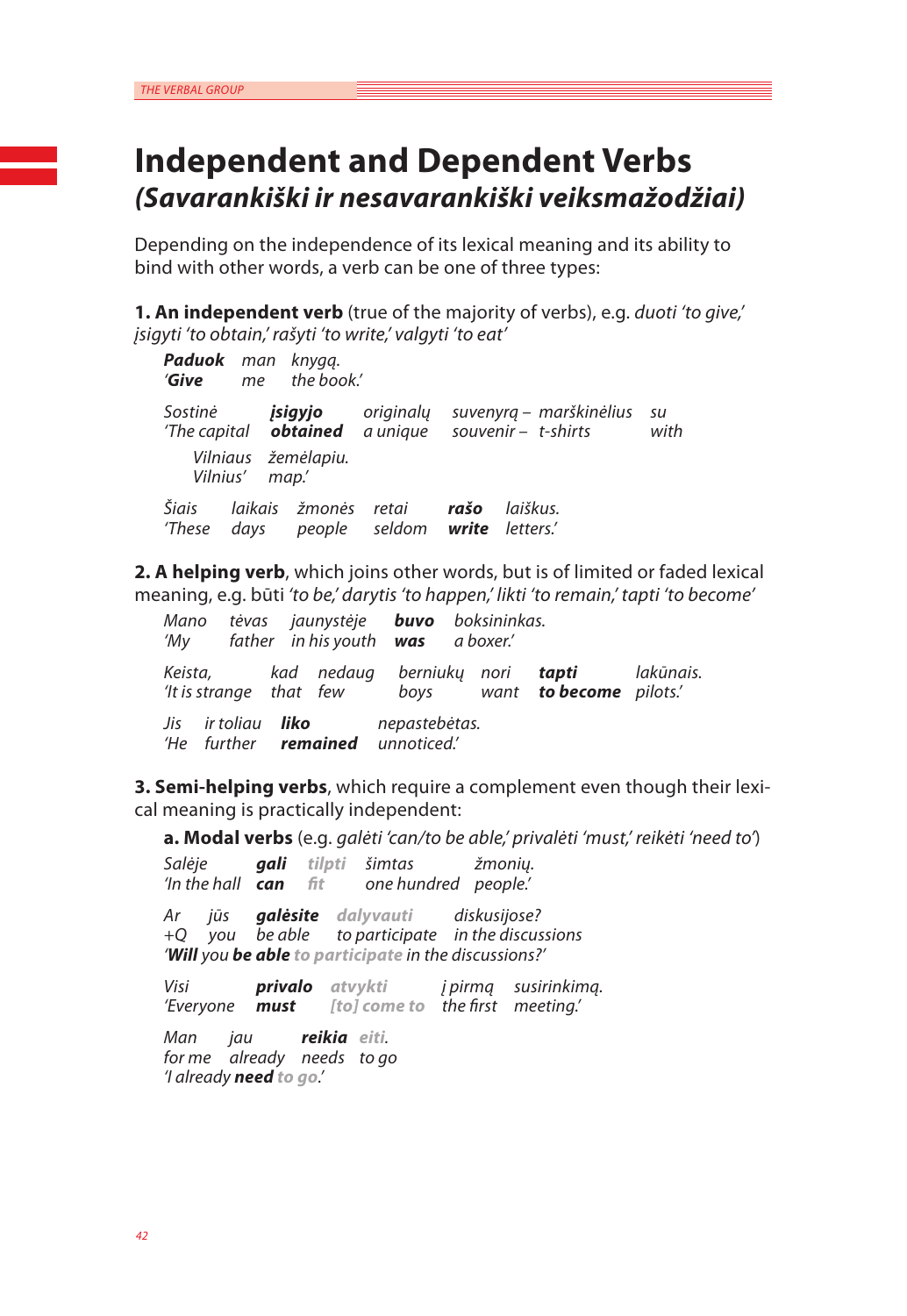## **Independent and Dependent Verbs**  *(Savarankiški ir nesavarankiški veiksmažodžiai)*

Depending on the independence of its lexical meaning and its ability to bind with other words, a verb can be one of three types:

**1. An independent verb** (true of the majority of verbs), e.g. *duoti 'to give,' įsigyti 'to obtain,' rašyti 'to write,' valgyti 'to eat'*

*Paduok man knygą. 'Give me the book.' Sostinė įsigyjo originalų suvenyrą – marškinėlius su 'The capital obtained a unique souvenir – t-shirts Vilniaus žemėlapiu. Vilnius' map.' Šiais laikais žmonės retai rašo laiškus. 'These days people seldom write letters.'*

**2. A helping verb**, which joins other words, but is of limited or faded lexical meaning, e.g. būti *'to be,' darytis 'to happen,' likti 'to remain,' tapti 'to become'*

*Mano tėvas jaunystėje buvo boksininkas. 'My father in his youth was a boxer.' Keista, kad nedaug berniukų nori tapti lakūnais. 'It is strange that few boys want to become pilots.' Jis ir toliau liko nepastebėtas. 'He further remained unnoticed.'*

**3. Semi-helping verbs**, which require a complement even though their lexical meaning is practically independent:

**a. Modal verbs** (e.g. *galėti 'can/to be able,' privalėti 'must,' reikėti 'need to'*)

*Salėje gali tilpti šimtas žmonių. 'In the hall can fit one hundred people.' Ar jūs galėsite dalyvauti diskusijose? +Q you be able to participate in the discussions 'Will you be able to participate in the discussions?'*

*Visi privalo atvykti į pirmą susirinkimą. 'Everyone must [to] come to the first meeting.'*

*Man jau reikia eiti. for me already needs to go 'I already need to go.'*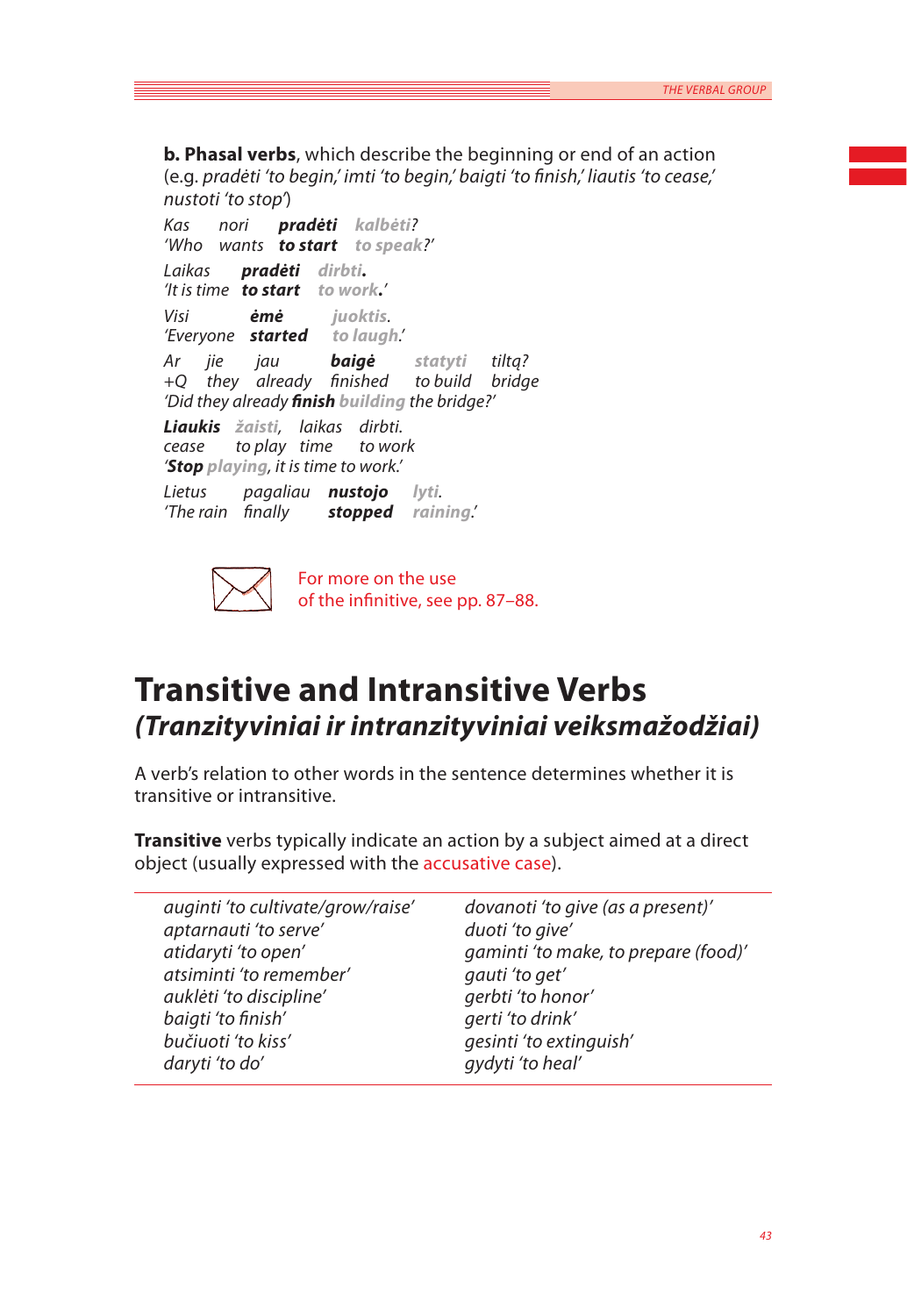**b. Phasal verbs**, which describe the beginning or end of an action (e.g. *pradėti 'to begin,' imti 'to begin,' baigti 'to finish,' liautis 'to cease,' nustoti 'to stop'*)

*Kas nori pradėti kalbėti? 'Who wants to start to speak?' Laikas pradėti dirbti. 'It is time to start to work.' Visi ėmė juoktis. 'Everyone started to laugh.' Ar jie jau baigė statyti tiltą? +Q they already finished to build bridge 'Did they already finish building the bridge?' Liaukis žaisti, laikas dirbti. cease to play time to work 'Stop playing, it is time to work.'*

*Lietus pagaliau nustojo lyti. 'The rain finally stopped raining.'*



For more on the use of the infinitive, see pp. 87–88.

## **Transitive and Intransitive Verbs**  *(Tranzityviniai ir intranzityviniai veiksmažodžiai)*

A verb's relation to other words in the sentence determines whether it is transitive or intransitive.

**Transitive** verbs typically indicate an action by a subject aimed at a direct object (usually expressed with the accusative case).

| dovanoti 'to give (as a present)'    |
|--------------------------------------|
|                                      |
| gaminti 'to make, to prepare (food)' |
|                                      |
|                                      |
|                                      |
| gesinti 'to extinguish'              |
|                                      |
|                                      |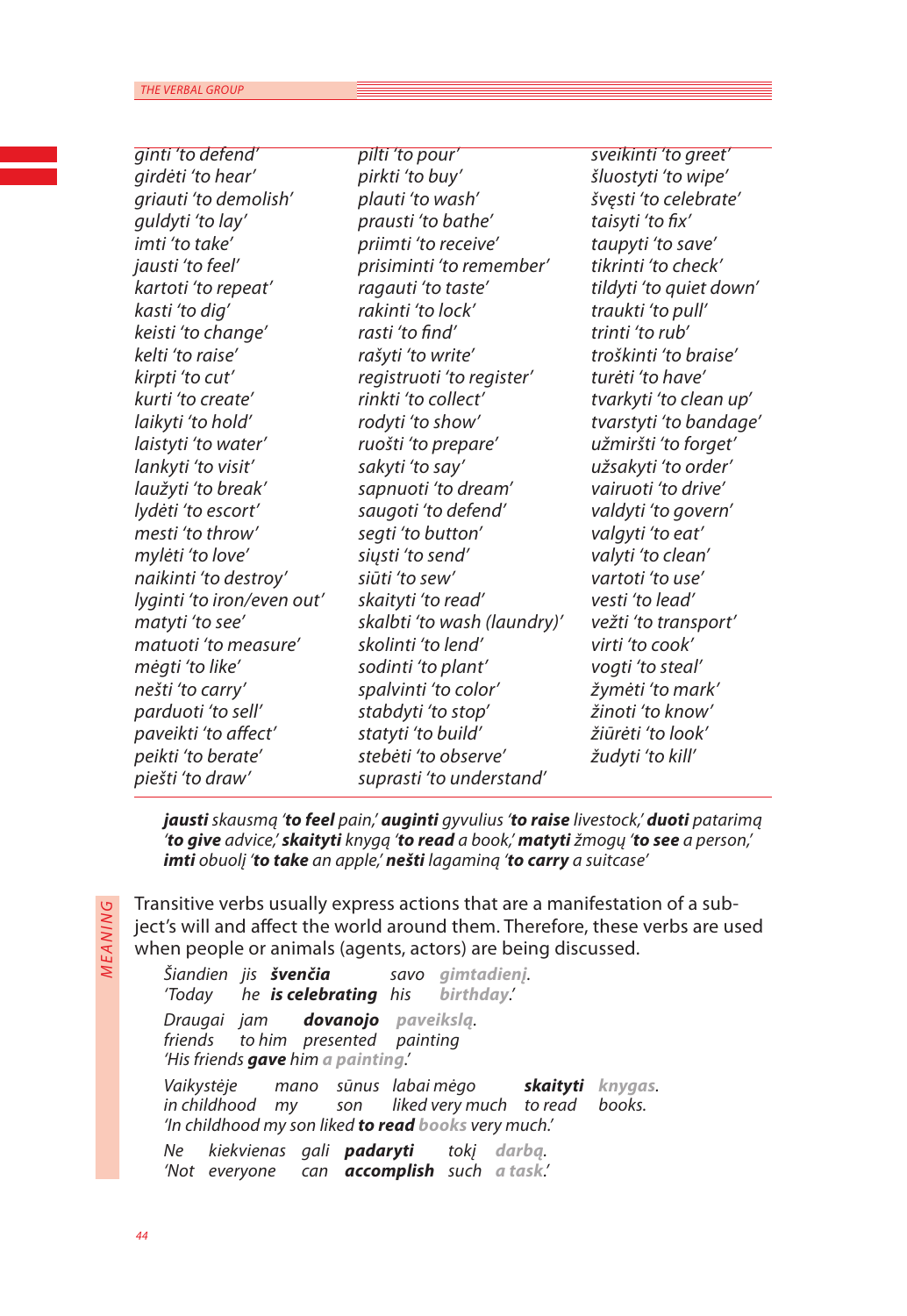| ginti 'to defend'          | pilti 'to pour'             | sveikinti 'to greet'    |
|----------------------------|-----------------------------|-------------------------|
| girdėti 'to hear'          | pirkti 'to buy'             | šluostyti 'to wipe'     |
| griauti 'to demolish'      | plauti 'to wash'            | švęsti 'to celebrate'   |
| guldyti 'to lay'           | prausti 'to bathe'          | taisyti 'to fix'        |
| imti 'to take'             | priimti 'to receive'        | taupyti 'to save'       |
| jausti 'to feel'           | prisiminti 'to remember'    | tikrinti 'to check'     |
| kartoti 'to repeat'        | ragauti 'to taste'          | tildyti 'to quiet down' |
| kasti 'to dig'             | rakinti 'to lock'           | traukti 'to pull'       |
| keisti 'to change'         | rasti 'to find'             | trinti 'to rub'         |
| kelti 'to raise'           | rašyti 'to write'           | troškinti 'to braise'   |
| kirpti 'to cut'            | registruoti 'to register'   | turėti 'to have'        |
| kurti 'to create'          | rinkti 'to collect'         | tvarkyti 'to clean up'  |
| laikyti 'to hold'          | rodyti 'to show'            | tvarstyti 'to bandage'  |
| laistyti 'to water'        | ruošti 'to prepare'         | užmiršti 'to forget'    |
| lankyti 'to visit'         | sakyti 'to say'             | užsakyti 'to order'     |
| laužyti 'to break'         | sapnuoti 'to dream'         | vairuoti 'to drive'     |
| lydėti 'to escort'         | saugoti 'to defend'         | valdyti 'to govern'     |
| mesti 'to throw'           | segti 'to button'           | valgyti 'to eat'        |
| mylėti 'to love'           | siųsti 'to send'            | valyti 'to clean'       |
| naikinti 'to destroy'      | siūti 'to sew'              | vartoti 'to use'        |
| lyginti 'to iron/even out' | skaityti 'to read'          | vesti 'to lead'         |
| matyti 'to see'            | skalbti 'to wash (laundry)' | vežti 'to transport'    |
| matuoti 'to measure'       | skolinti 'to lend'          | virti 'to cook'         |
| mėgti 'to like'            | sodinti 'to plant'          | vogti 'to steal'        |
| nešti 'to carry'           | spalvinti 'to color'        | žymėti 'to mark'        |
| parduoti 'to sell'         | stabdyti 'to stop'          | žinoti 'to know'        |
| paveikti 'to affect'       | statyti 'to build'          | žiūrėti 'to look'       |
| peikti 'to berate'         | stebėti 'to observe'        | žudyti 'to kill'        |
| piešti 'to draw'           | suprasti 'to understand'    |                         |
|                            |                             |                         |

*jausti skausmą 'to feel pain,' auginti gyvulius 'to raise livestock,' duoti patarimą 'to give advice,' skaityti knygą 'to read a book,' matyti žmogų 'to see a person,' imti obuolį 'to take an apple,' nešti lagaminą 'to carry a suitcase'*

Transitive verbs usually express actions that are a manifestation of a subject's will and affect the world around them. Therefore, these verbs are used

*M e a nin* **MEANING** 

when people or animals (agents, actors) are being discussed. *Šiandien jis švenčia savo gimtadienį. 'Today he is celebrating his birthday.' Draugai jam dovanojo paveikslą. friends to him presented painting 'His friends gave him a painting.' Vaikystėje mano sūnus labai mėgo skaityti knygas. in childhood my son liked very much to read books. 'In childhood my son liked to read books very much.' Ne kiekvienas gali padaryti tokį darbą. 'Not everyone can accomplish such a task.'*